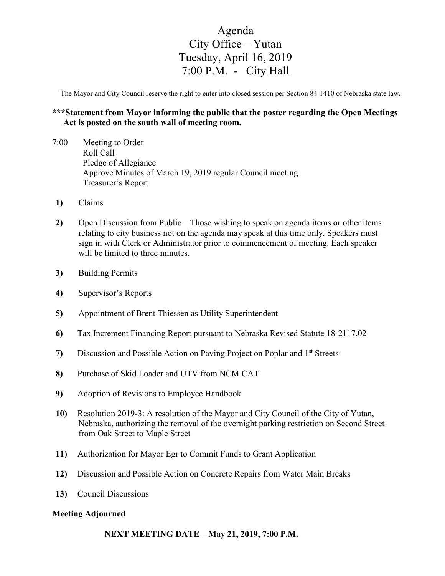## Agenda City Office – Yutan Tuesday, April 16, 2019 7:00 P.M. - City Hall

The Mayor and City Council reserve the right to enter into closed session per Section 84-1410 of Nebraska state law.

## **\*\*\*Statement from Mayor informing the public that the poster regarding the Open Meetings Act is posted on the south wall of meeting room.**

- 7:00 Meeting to Order Roll Call Pledge of Allegiance Approve Minutes of March 19, 2019 regular Council meeting Treasurer's Report
- **1)** Claims
- **2)** Open Discussion from Public Those wishing to speak on agenda items or other items relating to city business not on the agenda may speak at this time only. Speakers must sign in with Clerk or Administrator prior to commencement of meeting. Each speaker will be limited to three minutes.
- **3)** Building Permits
- **4)** Supervisor's Reports
- **5)** Appointment of Brent Thiessen as Utility Superintendent
- **6)** Tax Increment Financing Report pursuant to Nebraska Revised Statute 18-2117.02
- **7)** Discussion and Possible Action on Paving Project on Poplar and 1st Streets
- **8)** Purchase of Skid Loader and UTV from NCM CAT
- **9)** Adoption of Revisions to Employee Handbook
- **10)** Resolution 2019-3: A resolution of the Mayor and City Council of the City of Yutan, Nebraska, authorizing the removal of the overnight parking restriction on Second Street from Oak Street to Maple Street
- **11)** Authorization for Mayor Egr to Commit Funds to Grant Application
- **12)** Discussion and Possible Action on Concrete Repairs from Water Main Breaks
- **13)** Council Discussions

## **Meeting Adjourned**

**NEXT MEETING DATE – May 21, 2019, 7:00 P.M.**